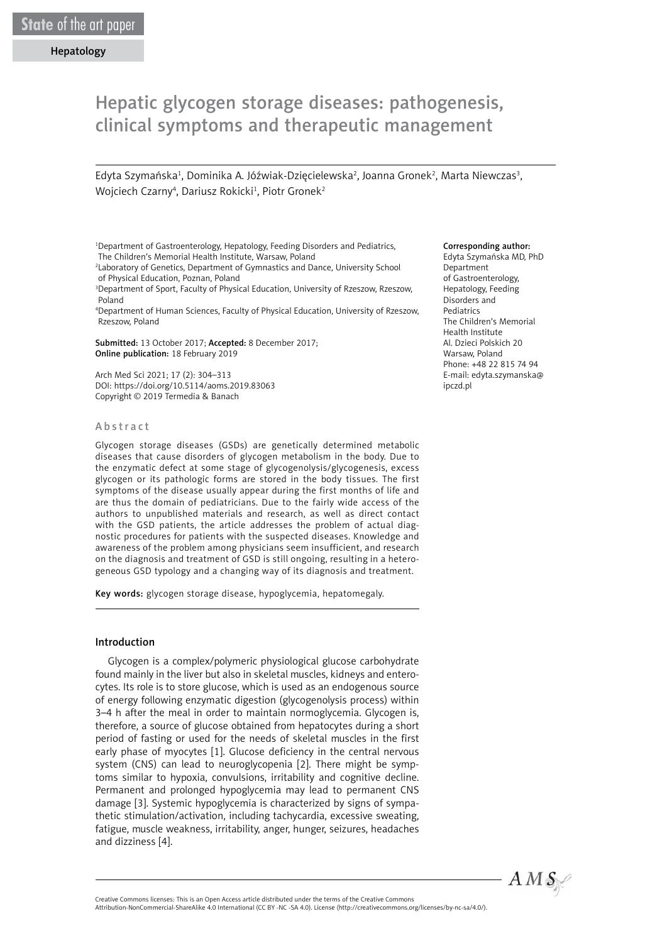# Hepatic glycogen storage diseases: pathogenesis, clinical symptoms and therapeutic management

Edyta Szymańska<sup>1</sup>, Dominika A. Jóźwiak-Dzięcielewska<sup>2</sup>, Joanna Gronek<sup>2</sup>, Marta Niewczas<sup>3</sup>, Wojciech Czarny<sup>4</sup>, Dariusz Rokicki<sup>1</sup>, Piotr Gronek<sup>2</sup>

1 Department of Gastroenterology, Hepatology, Feeding Disorders and Pediatrics, The Children's Memorial Health Institute, Warsaw, Poland

2 Laboratory of Genetics, Department of Gymnastics and Dance, University School of Physical Education, Poznan, Poland

3 Department of Sport, Faculty of Physical Education, University of Rzeszow, Rzeszow, Poland

4 Department of Human Sciences, Faculty of Physical Education, University of Rzeszow, Rzeszow, Poland

Submitted: 13 October 2017; Accepted: 8 December 2017; Online publication: 18 February 2019

Arch Med Sci 2021; 17 (2): 304–313 DOI: https://doi.org/10.5114/aoms.2019.83063 Copyright © 2019 Termedia & Banach

#### Abstract

Glycogen storage diseases (GSDs) are genetically determined metabolic diseases that cause disorders of glycogen metabolism in the body. Due to the enzymatic defect at some stage of glycogenolysis/glycogenesis, excess glycogen or its pathologic forms are stored in the body tissues. The first symptoms of the disease usually appear during the first months of life and are thus the domain of pediatricians. Due to the fairly wide access of the authors to unpublished materials and research, as well as direct contact with the GSD patients, the article addresses the problem of actual diagnostic procedures for patients with the suspected diseases. Knowledge and awareness of the problem among physicians seem insufficient, and research on the diagnosis and treatment of GSD is still ongoing, resulting in a heterogeneous GSD typology and a changing way of its diagnosis and treatment.

Key words: glycogen storage disease, hypoglycemia, hepatomegaly.

#### Introduction

Glycogen is a complex/polymeric physiological glucose carbohydrate found mainly in the liver but also in skeletal muscles, kidneys and enterocytes. Its role is to store glucose, which is used as an endogenous source of energy following enzymatic digestion (glycogenolysis process) within 3–4 h after the meal in order to maintain normoglycemia. Glycogen is, therefore, a source of glucose obtained from hepatocytes during a short period of fasting or used for the needs of skeletal muscles in the first early phase of myocytes [1]. Glucose deficiency in the central nervous system (CNS) can lead to neuroglycopenia [2]. There might be symptoms similar to hypoxia, convulsions, irritability and cognitive decline. Permanent and prolonged hypoglycemia may lead to permanent CNS damage [3]. Systemic hypoglycemia is characterized by signs of sympathetic stimulation/activation, including tachycardia, excessive sweating, fatigue, muscle weakness, irritability, anger, hunger, seizures, headaches and dizziness [4].

#### Corresponding author:

Edyta Szymańska MD, PhD Department of Gastroenterology, Hepatology, Feeding Disorders and Pediatrics The Children's Memorial Health Institute Al. Dzieci Polskich 20 Warsaw, Poland Phone: +48 22 815 74 94 E-mail: edyta.szymanska@ ipczd.pl



Attribution-NonCommercial-ShareAlike 4.0 International (CC BY -NC -SA 4.0). License (http://creativecommons.org/licenses/by-nc-sa/4.0/).

Creative Commons licenses: This is an Open Access article distributed under the terms of the Creative Commons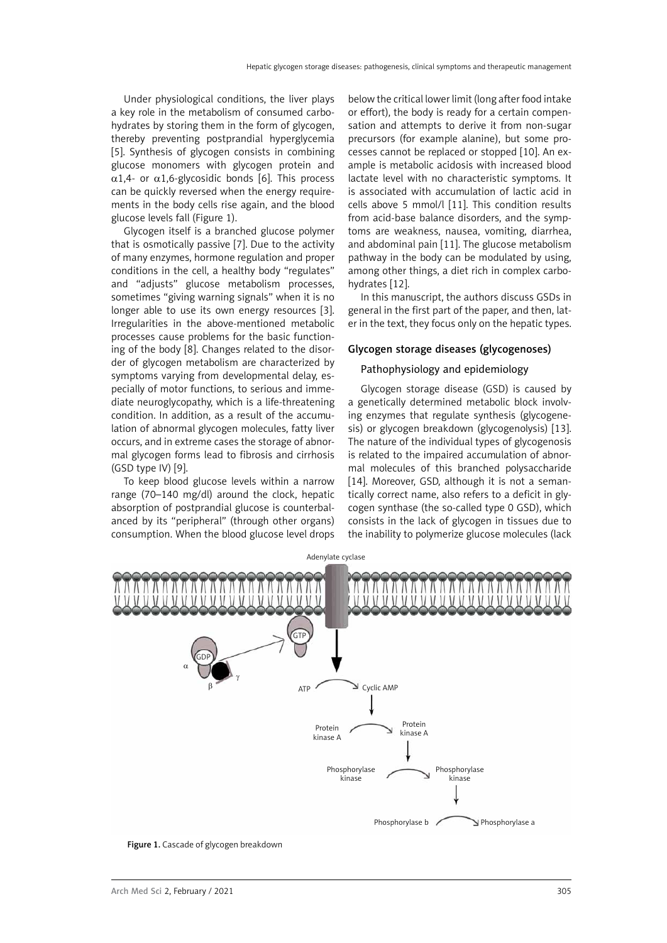Under physiological conditions, the liver plays a key role in the metabolism of consumed carbohydrates by storing them in the form of glycogen, thereby preventing postprandial hyperglycemia [5]. Synthesis of glycogen consists in combining glucose monomers with glycogen protein and  $\alpha$ 1,4- or  $\alpha$ 1,6-glycosidic bonds [6]. This process can be quickly reversed when the energy requirements in the body cells rise again, and the blood glucose levels fall (Figure 1).

Glycogen itself is a branched glucose polymer that is osmotically passive [7]. Due to the activity of many enzymes, hormone regulation and proper conditions in the cell, a healthy body "regulates" and "adjusts" glucose metabolism processes, sometimes "giving warning signals" when it is no longer able to use its own energy resources [3]. Irregularities in the above-mentioned metabolic processes cause problems for the basic functioning of the body [8]. Changes related to the disorder of glycogen metabolism are characterized by symptoms varying from developmental delay, especially of motor functions, to serious and immediate neuroglycopathy, which is a life-threatening condition. In addition, as a result of the accumulation of abnormal glycogen molecules, fatty liver occurs, and in extreme cases the storage of abnormal glycogen forms lead to fibrosis and cirrhosis (GSD type IV) [9].

To keep blood glucose levels within a narrow range (70–140 mg/dl) around the clock, hepatic absorption of postprandial glucose is counterbalanced by its "peripheral" (through other organs) consumption. When the blood glucose level drops

below the critical lower limit (long after food intake or effort), the body is ready for a certain compensation and attempts to derive it from non-sugar precursors (for example alanine), but some processes cannot be replaced or stopped [10]. An example is metabolic acidosis with increased blood lactate level with no characteristic symptoms. It is associated with accumulation of lactic acid in cells above 5 mmol/l [11]. This condition results from acid-base balance disorders, and the symptoms are weakness, nausea, vomiting, diarrhea, and abdominal pain [11]. The glucose metabolism pathway in the body can be modulated by using, among other things, a diet rich in complex carbohydrates [12].

In this manuscript, the authors discuss GSDs in general in the first part of the paper, and then, later in the text, they focus only on the hepatic types.

#### Glycogen storage diseases (glycogenoses)

#### Pathophysiology and epidemiology

Glycogen storage disease (GSD) is caused by a genetically determined metabolic block involving enzymes that regulate synthesis (glycogenesis) or glycogen breakdown (glycogenolysis) [13]. The nature of the individual types of glycogenosis is related to the impaired accumulation of abnormal molecules of this branched polysaccharide [14]. Moreover, GSD, although it is not a semantically correct name, also refers to a deficit in glycogen synthase (the so-called type 0 GSD), which consists in the lack of glycogen in tissues due to the inability to polymerize glucose molecules (lack



Figure 1. Cascade of glycogen breakdown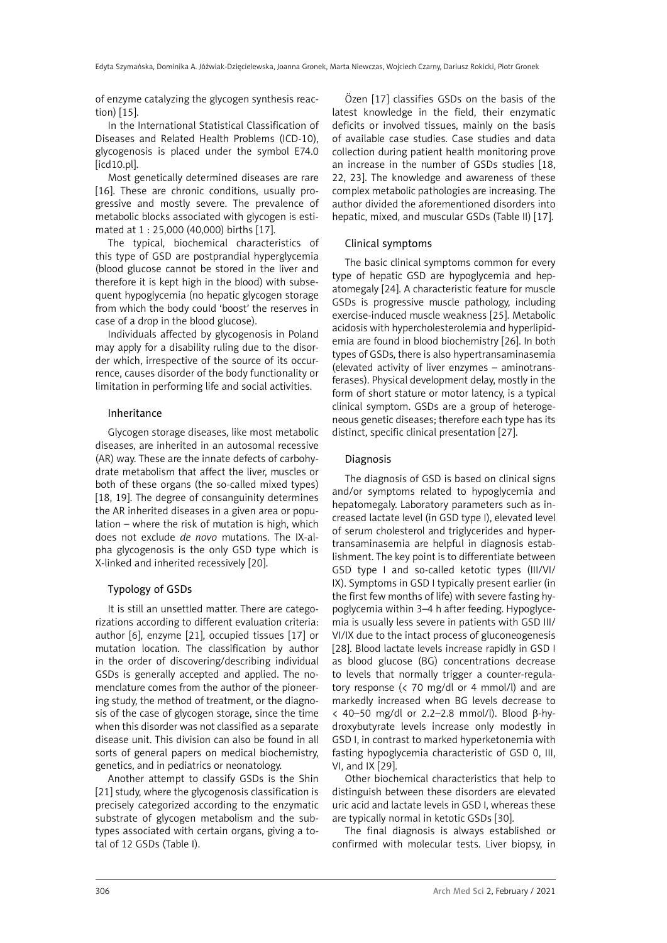of enzyme catalyzing the glycogen synthesis reaction) [15].

In the International Statistical Classification of Diseases and Related Health Problems (ICD-10), glycogenosis is placed under the symbol E74.0  $[icd10.pl]$ .

Most genetically determined diseases are rare [16]. These are chronic conditions, usually progressive and mostly severe. The prevalence of metabolic blocks associated with glycogen is estimated at 1 : 25,000 (40,000) births [17].

The typical, biochemical characteristics of this type of GSD are postprandial hyperglycemia (blood glucose cannot be stored in the liver and therefore it is kept high in the blood) with subsequent hypoglycemia (no hepatic glycogen storage from which the body could 'boost' the reserves in case of a drop in the blood glucose).

Individuals affected by glycogenosis in Poland may apply for a disability ruling due to the disorder which, irrespective of the source of its occurrence, causes disorder of the body functionality or limitation in performing life and social activities.

### Inheritance

Glycogen storage diseases, like most metabolic diseases, are inherited in an autosomal recessive (AR) way. These are the innate defects of carbohydrate metabolism that affect the liver, muscles or both of these organs (the so-called mixed types) [18, 19]. The degree of consanguinity determines the AR inherited diseases in a given area or population – where the risk of mutation is high, which does not exclude *de novo* mutations. The IX-alpha glycogenosis is the only GSD type which is X-linked and inherited recessively [20].

#### Typology of GSDs

It is still an unsettled matter. There are categorizations according to different evaluation criteria: author [6], enzyme [21], occupied tissues [17] or mutation location. The classification by author in the order of discovering/describing individual GSDs is generally accepted and applied. The nomenclature comes from the author of the pioneering study, the method of treatment, or the diagnosis of the case of glycogen storage, since the time when this disorder was not classified as a separate disease unit. This division can also be found in all sorts of general papers on medical biochemistry, genetics, and in pediatrics or neonatology.

Another attempt to classify GSDs is the Shin [21] study, where the glycogenosis classification is precisely categorized according to the enzymatic substrate of glycogen metabolism and the subtypes associated with certain organs, giving a total of 12 GSDs (Table I).

Özen [17] classifies GSDs on the basis of the latest knowledge in the field, their enzymatic deficits or involved tissues, mainly on the basis of available case studies. Case studies and data collection during patient health monitoring prove an increase in the number of GSDs studies [18, 22, 23]. The knowledge and awareness of these complex metabolic pathologies are increasing. The author divided the aforementioned disorders into hepatic, mixed, and muscular GSDs (Table II) [17].

#### Clinical symptoms

The basic clinical symptoms common for every type of hepatic GSD are hypoglycemia and hepatomegaly [24]. A characteristic feature for muscle GSDs is progressive muscle pathology, including exercise-induced muscle weakness [25]. Metabolic acidosis with hypercholesterolemia and hyperlipidemia are found in blood biochemistry [26]. In both types of GSDs, there is also hypertransaminasemia (elevated activity of liver enzymes – aminotransferases). Physical development delay, mostly in the form of short stature or motor latency, is a typical clinical symptom. GSDs are a group of heterogeneous genetic diseases; therefore each type has its distinct, specific clinical presentation [27].

## Diagnosis

The diagnosis of GSD is based on clinical signs and/or symptoms related to hypoglycemia and hepatomegaly. Laboratory parameters such as increased lactate level (in GSD type I), elevated level of serum cholesterol and triglycerides and hypertransaminasemia are helpful in diagnosis establishment. The key point is to differentiate between GSD type I and so-called ketotic types (III/VI/ IX). Symptoms in GSD I typically present earlier (in the first few months of life) with severe fasting hypoglycemia within 3–4 h after feeding. Hypoglycemia is usually less severe in patients with GSD III/ VI/IX due to the intact process of gluconeogenesis [28]. Blood lactate levels increase rapidly in GSD I as blood glucose (BG) concentrations decrease to levels that normally trigger a counter-regulatory response (< 70 mg/dl or 4 mmol/l) and are markedly increased when BG levels decrease to < 40–50 mg/dl or 2.2–2.8 mmol/l). Blood β-hydroxybutyrate levels increase only modestly in GSD I, in contrast to marked hyperketonemia with fasting hypoglycemia characteristic of GSD 0, III, VI, and IX [29].

Other biochemical characteristics that help to distinguish between these disorders are elevated uric acid and lactate levels in GSD I, whereas these are typically normal in ketotic GSDs [30].

The final diagnosis is always established or confirmed with molecular tests. Liver biopsy, in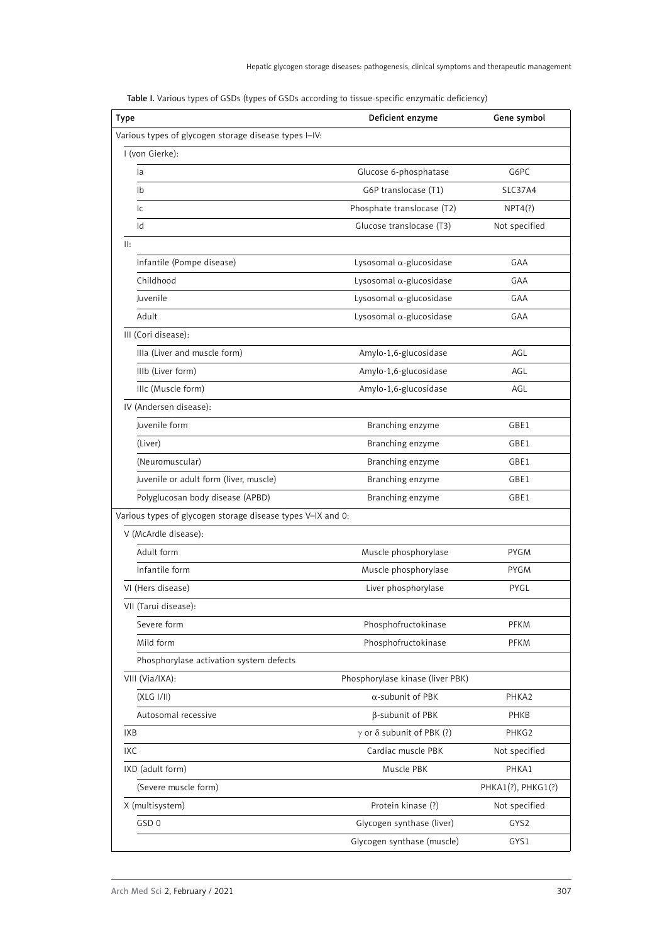| <b>Type</b>                                                 | Deficient enzyme                        | Gene symbol        |
|-------------------------------------------------------------|-----------------------------------------|--------------------|
| Various types of glycogen storage disease types I-IV:       |                                         |                    |
| I (von Gierke):                                             |                                         |                    |
| la                                                          | Glucose 6-phosphatase                   | G6PC               |
| 1 <sub>b</sub>                                              | G6P translocase (T1)                    | <b>SLC37A4</b>     |
| lc                                                          | Phosphate translocase (T2)              | NPT4(?)            |
| Id                                                          | Glucose translocase (T3)                | Not specified      |
| $  $ :                                                      |                                         |                    |
| Infantile (Pompe disease)                                   | Lysosomal $\alpha$ -glucosidase         | GAA                |
| Childhood                                                   | Lysosomal $\alpha$ -glucosidase         | GAA                |
| Juvenile                                                    | Lysosomal $\alpha$ -glucosidase         | GAA                |
| Adult                                                       | Lysosomal $\alpha$ -glucosidase         | GAA                |
| III (Cori disease):                                         |                                         |                    |
| Illa (Liver and muscle form)                                | Amylo-1,6-glucosidase                   | AGL                |
| IIIb (Liver form)                                           | Amylo-1,6-glucosidase                   | AGL                |
| IIIc (Muscle form)                                          | Amylo-1,6-glucosidase                   | AGL                |
| IV (Andersen disease):                                      |                                         |                    |
| Juvenile form                                               | Branching enzyme                        | GBE1               |
| (Liver)                                                     | Branching enzyme                        | GBE1               |
| (Neuromuscular)                                             | Branching enzyme                        | GBE1               |
| Juvenile or adult form (liver, muscle)                      | Branching enzyme                        | GBE1               |
| Polyglucosan body disease (APBD)                            | Branching enzyme                        | GBE1               |
| Various types of glycogen storage disease types V-IX and 0: |                                         |                    |
| V (McArdle disease):                                        |                                         |                    |
| Adult form                                                  | Muscle phosphorylase                    | <b>PYGM</b>        |
| Infantile form                                              | Muscle phosphorylase                    | <b>PYGM</b>        |
| VI (Hers disease)                                           | Liver phosphorylase                     | PYGL               |
| VII (Tarui disease):                                        |                                         |                    |
| Severe form                                                 | Phosphofructokinase                     | <b>PFKM</b>        |
| Mild form                                                   | Phosphofructokinase                     | PFKM               |
| Phosphorylase activation system defects                     |                                         |                    |
| VIII (Via/IXA):                                             | Phosphorylase kinase (liver PBK)        |                    |
| (XLG I/II)                                                  | $\alpha$ -subunit of PBK                | PHKA2              |
| Autosomal recessive                                         | β-subunit of PBK                        | PHKB               |
| IXB                                                         | $\gamma$ or $\delta$ subunit of PBK (?) | PHKG2              |
| IXC                                                         | Cardiac muscle PBK                      | Not specified      |
| IXD (adult form)                                            | Muscle PBK                              | PHKA1              |
| (Severe muscle form)                                        |                                         | PHKA1(?), PHKG1(?) |
| X (multisystem)                                             | Protein kinase (?)                      | Not specified      |
| GSD <sub>0</sub>                                            | Glycogen synthase (liver)               | GYS2               |
|                                                             | Glycogen synthase (muscle)              | GYS1               |

Table I. Various types of GSDs (types of GSDs according to tissue-specific enzymatic deficiency)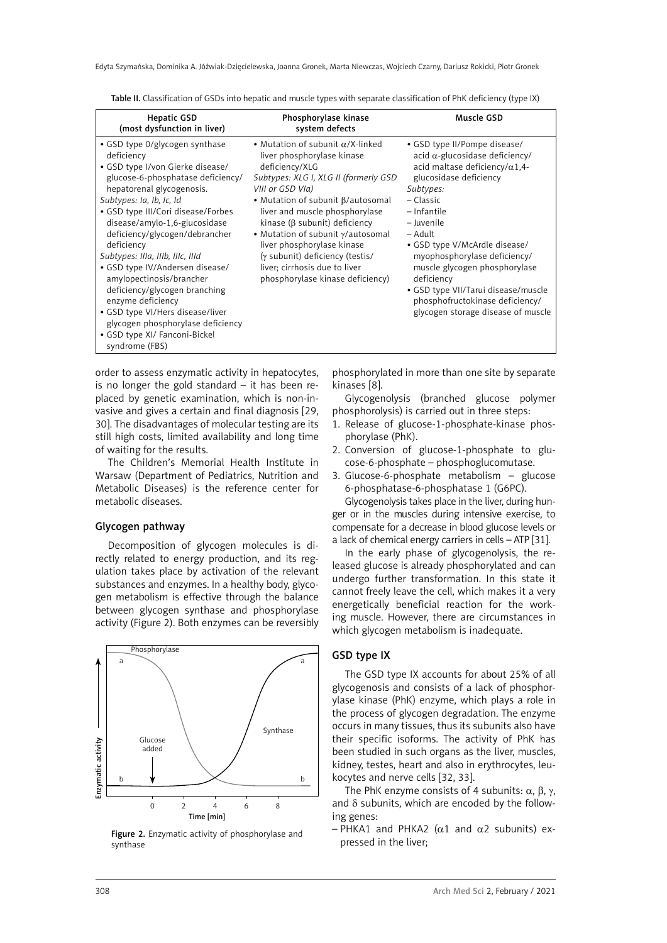| <b>Hepatic GSD</b><br>(most dysfunction in liver)                                                                                                                                                                                                                                                                                                                                                                                                                                                                                                                                          | Phosphorylase kinase<br>system defects                                                                                                                                                                                                                                                                                                                                                                                                          | Muscle GSD                                                                                                                                                                                                                                                                                                                                                                                                                                   |
|--------------------------------------------------------------------------------------------------------------------------------------------------------------------------------------------------------------------------------------------------------------------------------------------------------------------------------------------------------------------------------------------------------------------------------------------------------------------------------------------------------------------------------------------------------------------------------------------|-------------------------------------------------------------------------------------------------------------------------------------------------------------------------------------------------------------------------------------------------------------------------------------------------------------------------------------------------------------------------------------------------------------------------------------------------|----------------------------------------------------------------------------------------------------------------------------------------------------------------------------------------------------------------------------------------------------------------------------------------------------------------------------------------------------------------------------------------------------------------------------------------------|
| • GSD type 0/glycogen synthase<br>deficiency<br>· GSD type I/von Gierke disease/<br>glucose-6-phosphatase deficiency/<br>hepatorenal glycogenosis.<br>Subtypes: Ia, Ib, Ic, Id<br>• GSD type III/Cori disease/Forbes<br>disease/amylo-1,6-glucosidase<br>deficiency/glycogen/debrancher<br>deficiency<br>Subtypes: IIIa, IIIb, IIIc, IIId<br>• GSD type IV/Andersen disease/<br>amylopectinosis/brancher<br>deficiency/glycogen branching<br>enzyme deficiency<br>• GSD type VI/Hers disease/liver<br>glycogen phosphorylase deficiency<br>• GSD type XI/ Fanconi-Bickel<br>syndrome (FBS) | • Mutation of subunit $\alpha$ /X-linked<br>liver phosphorylase kinase<br>deficiency/XLG<br>Subtypes: XLG I, XLG II (formerly GSD<br>VIII or GSD VIa)<br>• Mutation of subunit B/autosomal<br>liver and muscle phosphorylase<br>kinase ( $\beta$ subunit) deficiency<br>• Mutation of subunit y/autosomal<br>liver phosphorylase kinase<br>(y subunit) deficiency (testis/<br>liver; cirrhosis due to liver<br>phosphorylase kinase deficiency) | • GSD type II/Pompe disease/<br>$acid \alpha$ -glucosidase deficiency/<br>acid maltase deficiency/ $\alpha$ 1,4-<br>glucosidase deficiency<br>Subtypes:<br>– Classic<br>- Infantile<br>- Juvenile<br>– Adult<br>• GSD type V/McArdle disease/<br>myophosphorylase deficiency/<br>muscle glycogen phosphorylase<br>deficiency<br>• GSD type VII/Tarui disease/muscle<br>phosphofructokinase deficiency/<br>glycogen storage disease of muscle |

Table II. Classification of GSDs into hepatic and muscle types with separate classification of PhK deficiency (type IX)

order to assess enzymatic activity in hepatocytes, is no longer the gold standard – it has been replaced by genetic examination, which is non-invasive and gives a certain and final diagnosis [29, 30]. The disadvantages of molecular testing are its still high costs, limited availability and long time of waiting for the results.

The Children's Memorial Health Institute in Warsaw (Department of Pediatrics, Nutrition and Metabolic Diseases) is the reference center for metabolic diseases.

### Glycogen pathway

Decomposition of glycogen molecules is directly related to energy production, and its regulation takes place by activation of the relevant substances and enzymes. In a healthy body, glycogen metabolism is effective through the balance between glycogen synthase and phosphorylase activity (Figure 2). Both enzymes can be reversibly



Figure 2. Enzymatic activity of phosphorylase and synthase

phosphorylated in more than one site by separate kinases [8].

Glycogenolysis (branched glucose polymer phosphorolysis) is carried out in three steps:

- 1. Release of glucose-1-phosphate-kinase phosphorylase (PhK).
- 2. Conversion of glucose-1-phosphate to glucose-6-phosphate – phosphoglucomutase.
- 3. Glucose-6-phosphate metabolism glucose 6-phosphatase-6-phosphatase 1 (G6PC).

Glycogenolysis takes place in the liver, during hunger or in the muscles during intensive exercise, to compensate for a decrease in blood glucose levels or a lack of chemical energy carriers in cells – ATP [31].

In the early phase of glycogenolysis, the released glucose is already phosphorylated and can undergo further transformation. In this state it cannot freely leave the cell, which makes it a very energetically beneficial reaction for the working muscle. However, there are circumstances in which glycogen metabolism is inadequate.

## GSD type IX

The GSD type IX accounts for about 25% of all glycogenosis and consists of a lack of phosphorylase kinase (PhK) enzyme, which plays a role in the process of glycogen degradation. The enzyme occurs in many tissues, thus its subunits also have their specific isoforms. The activity of PhK has been studied in such organs as the liver, muscles, kidney, testes, heart and also in erythrocytes, leukocytes and nerve cells [32, 33].

The PhK enzyme consists of 4 subunits:  $\alpha$ ,  $\beta$ ,  $\gamma$ , and δ subunits, which are encoded by the following genes:

– PHKA1 and PHKA2 ( $\alpha$ 1 and  $\alpha$ 2 subunits) expressed in the liver;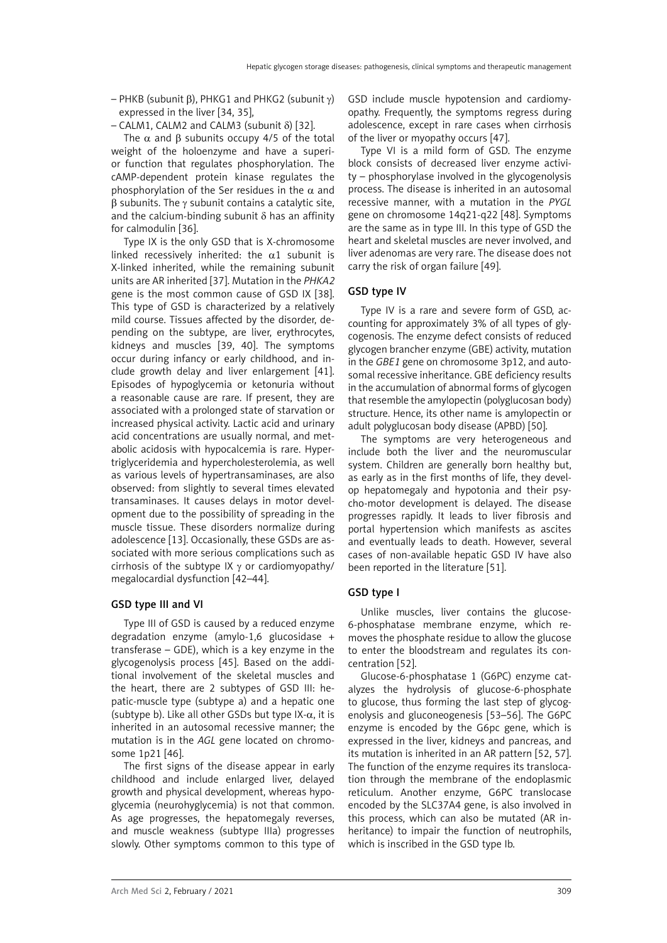– PHKB (subunit β), PHKG1 and PHKG2 (subunit γ) expressed in the liver [34, 35],

– CALM1, CALM2 and CALM3 (subunit δ) [32].

The  $\alpha$  and  $\beta$  subunits occupy 4/5 of the total weight of the holoenzyme and have a superior function that regulates phosphorylation. The cAMP-dependent protein kinase regulates the phosphorylation of the Ser residues in the  $\alpha$  and β subunits. The γ subunit contains a catalytic site, and the calcium-binding subunit  $\delta$  has an affinity for calmodulin [36].

Type IX is the only GSD that is X-chromosome linked recessively inherited: the  $\alpha$ 1 subunit is X-linked inherited, while the remaining subunit units are AR inherited [37]. Mutation in the *PHKA2* gene is the most common cause of GSD IX [38]. This type of GSD is characterized by a relatively mild course. Tissues affected by the disorder, depending on the subtype, are liver, erythrocytes, kidneys and muscles [39, 40]. The symptoms occur during infancy or early childhood, and include growth delay and liver enlargement [41]. Episodes of hypoglycemia or ketonuria without a reasonable cause are rare. If present, they are associated with a prolonged state of starvation or increased physical activity. Lactic acid and urinary acid concentrations are usually normal, and metabolic acidosis with hypocalcemia is rare. Hypertriglyceridemia and hypercholesterolemia, as well as various levels of hypertransaminases, are also observed: from slightly to several times elevated transaminases. It causes delays in motor development due to the possibility of spreading in the muscle tissue. These disorders normalize during adolescence [13]. Occasionally, these GSDs are associated with more serious complications such as cirrhosis of the subtype IX γ or cardiomyopathy/ megalocardial dysfunction [42–44].

#### GSD type III and VI

Type III of GSD is caused by a reduced enzyme degradation enzyme (amylo-1,6 glucosidase + transferase – GDE), which is a key enzyme in the glycogenolysis process [45]. Based on the additional involvement of the skeletal muscles and the heart, there are 2 subtypes of GSD III: hepatic-muscle type (subtype a) and a hepatic one (subtype b). Like all other GSDs but type  $IX-\alpha$ , it is inherited in an autosomal recessive manner; the mutation is in the *AGL* gene located on chromosome 1p21 [46].

The first signs of the disease appear in early childhood and include enlarged liver, delayed growth and physical development, whereas hypoglycemia (neurohyglycemia) is not that common. As age progresses, the hepatomegaly reverses, and muscle weakness (subtype IIIa) progresses slowly. Other symptoms common to this type of GSD include muscle hypotension and cardiomyopathy. Frequently, the symptoms regress during adolescence, except in rare cases when cirrhosis of the liver or myopathy occurs [47].

Type VI is a mild form of GSD. The enzyme block consists of decreased liver enzyme activity – phosphorylase involved in the glycogenolysis process. The disease is inherited in an autosomal recessive manner, with a mutation in the *PYGL* gene on chromosome 14q21-q22 [48]. Symptoms are the same as in type III. In this type of GSD the heart and skeletal muscles are never involved, and liver adenomas are very rare. The disease does not carry the risk of organ failure [49].

# GSD type IV

Type IV is a rare and severe form of GSD, accounting for approximately 3% of all types of glycogenosis. The enzyme defect consists of reduced glycogen brancher enzyme (GBE) activity, mutation in the *GBE1* gene on chromosome 3p12, and autosomal recessive inheritance. GBE deficiency results in the accumulation of abnormal forms of glycogen that resemble the amylopectin (polyglucosan body) structure. Hence, its other name is amylopectin or adult polyglucosan body disease (APBD) [50].

The symptoms are very heterogeneous and include both the liver and the neuromuscular system. Children are generally born healthy but, as early as in the first months of life, they develop hepatomegaly and hypotonia and their psycho-motor development is delayed. The disease progresses rapidly. It leads to liver fibrosis and portal hypertension which manifests as ascites and eventually leads to death. However, several cases of non-available hepatic GSD IV have also been reported in the literature [51].

#### GSD type I

Unlike muscles, liver contains the glucose-6-phosphatase membrane enzyme, which removes the phosphate residue to allow the glucose to enter the bloodstream and regulates its concentration [52].

Glucose-6-phosphatase 1 (G6PC) enzyme catalyzes the hydrolysis of glucose-6-phosphate to glucose, thus forming the last step of glycogenolysis and gluconeogenesis [53–56]. The G6PC enzyme is encoded by the G6pc gene, which is expressed in the liver, kidneys and pancreas, and its mutation is inherited in an AR pattern [52, 57]. The function of the enzyme requires its translocation through the membrane of the endoplasmic reticulum. Another enzyme, G6PC translocase encoded by the SLC37A4 gene, is also involved in this process, which can also be mutated (AR inheritance) to impair the function of neutrophils, which is inscribed in the GSD type Ib.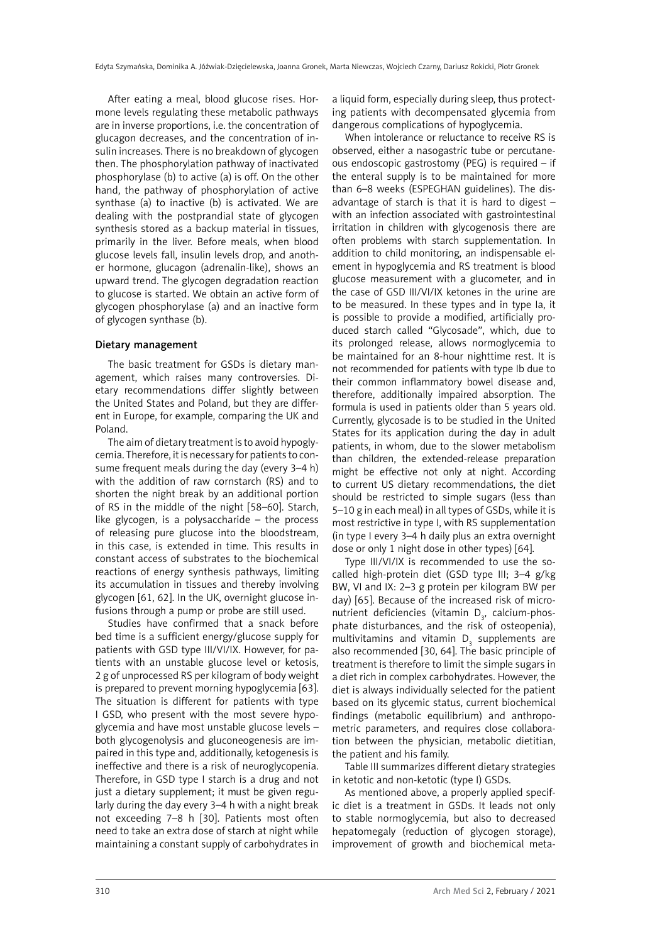After eating a meal, blood glucose rises. Hormone levels regulating these metabolic pathways are in inverse proportions, i.e. the concentration of glucagon decreases, and the concentration of insulin increases. There is no breakdown of glycogen then. The phosphorylation pathway of inactivated phosphorylase (b) to active (a) is off. On the other hand, the pathway of phosphorylation of active synthase (a) to inactive (b) is activated. We are dealing with the postprandial state of glycogen synthesis stored as a backup material in tissues, primarily in the liver. Before meals, when blood glucose levels fall, insulin levels drop, and another hormone, glucagon (adrenalin-like), shows an upward trend. The glycogen degradation reaction to glucose is started. We obtain an active form of glycogen phosphorylase (a) and an inactive form of glycogen synthase (b).

#### Dietary management

The basic treatment for GSDs is dietary management, which raises many controversies. Dietary recommendations differ slightly between the United States and Poland, but they are different in Europe, for example, comparing the UK and Poland.

The aim of dietary treatment is to avoid hypoglycemia. Therefore, it is necessary for patients to consume frequent meals during the day (every 3–4 h) with the addition of raw cornstarch (RS) and to shorten the night break by an additional portion of RS in the middle of the night [58–60]. Starch, like glycogen, is a polysaccharide – the process of releasing pure glucose into the bloodstream, in this case, is extended in time. This results in constant access of substrates to the biochemical reactions of energy synthesis pathways, limiting its accumulation in tissues and thereby involving glycogen [61, 62]. In the UK, overnight glucose infusions through a pump or probe are still used.

Studies have confirmed that a snack before bed time is a sufficient energy/glucose supply for patients with GSD type III/VI/IX. However, for patients with an unstable glucose level or ketosis, 2 g of unprocessed RS per kilogram of body weight is prepared to prevent morning hypoglycemia [63]. The situation is different for patients with type I GSD, who present with the most severe hypoglycemia and have most unstable glucose levels – both glycogenolysis and gluconeogenesis are impaired in this type and, additionally, ketogenesis is ineffective and there is a risk of neuroglycopenia. Therefore, in GSD type I starch is a drug and not just a dietary supplement: it must be given regularly during the day every 3–4 h with a night break not exceeding 7–8 h [30]. Patients most often need to take an extra dose of starch at night while maintaining a constant supply of carbohydrates in

a liquid form, especially during sleep, thus protecting patients with decompensated glycemia from dangerous complications of hypoglycemia.

When intolerance or reluctance to receive RS is observed, either a nasogastric tube or percutaneous endoscopic gastrostomy (PEG) is required – if the enteral supply is to be maintained for more than 6–8 weeks (ESPEGHAN guidelines). The disadvantage of starch is that it is hard to digest – with an infection associated with gastrointestinal irritation in children with glycogenosis there are often problems with starch supplementation. In addition to child monitoring, an indispensable element in hypoglycemia and RS treatment is blood glucose measurement with a glucometer, and in the case of GSD III/VI/IX ketones in the urine are to be measured. In these types and in type Ia, it is possible to provide a modified, artificially produced starch called "Glycosade", which, due to its prolonged release, allows normoglycemia to be maintained for an 8-hour nighttime rest. It is not recommended for patients with type Ib due to their common inflammatory bowel disease and, therefore, additionally impaired absorption. The formula is used in patients older than 5 years old. Currently, glycosade is to be studied in the United States for its application during the day in adult patients, in whom, due to the slower metabolism than children, the extended-release preparation might be effective not only at night. According to current US dietary recommendations, the diet should be restricted to simple sugars (less than 5–10 g in each meal) in all types of GSDs, while it is most restrictive in type I, with RS supplementation (in type I every 3–4 h daily plus an extra overnight dose or only 1 night dose in other types) [64].

Type III/VI/IX is recommended to use the socalled high-protein diet (GSD type III; 3–4 g/kg BW, VI and IX: 2–3 g protein per kilogram BW per day) [65]. Because of the increased risk of micronutrient deficiencies (vitamin  $D_{3}$ , calcium-phosphate disturbances, and the risk of osteopenia), multivitamins and vitamin  $D_3$  supplements are also recommended [30, 64]. The basic principle of treatment is therefore to limit the simple sugars in a diet rich in complex carbohydrates. However, the diet is always individually selected for the patient based on its glycemic status, current biochemical findings (metabolic equilibrium) and anthropometric parameters, and requires close collaboration between the physician, metabolic dietitian, the patient and his family.

Table III summarizes different dietary strategies in ketotic and non-ketotic (type I) GSDs.

As mentioned above, a properly applied specific diet is a treatment in GSDs. It leads not only to stable normoglycemia, but also to decreased hepatomegaly (reduction of glycogen storage), improvement of growth and biochemical meta-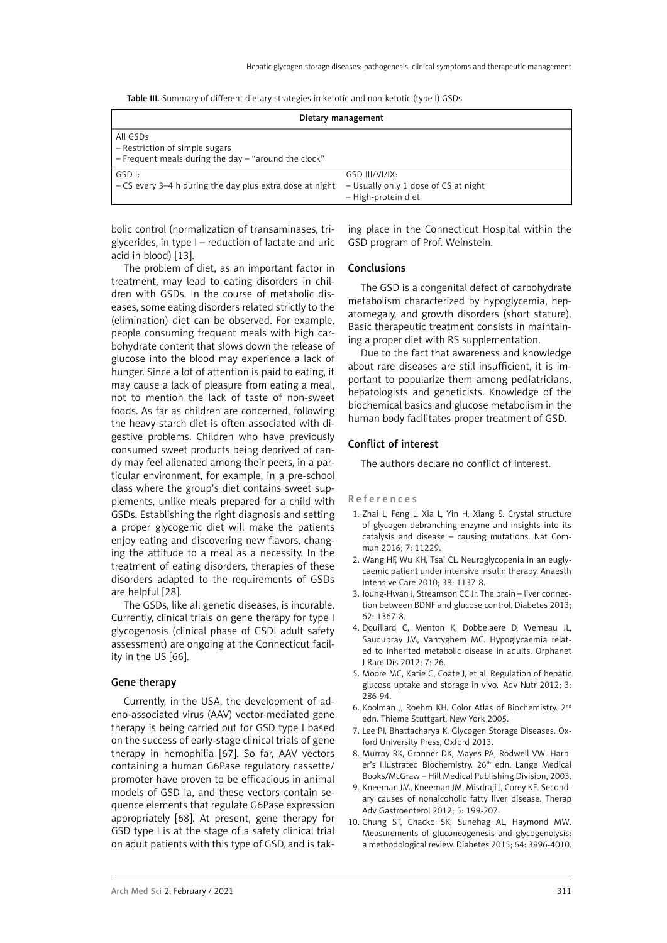|  | <b>Table III.</b> Summary of different dietary strategies in ketotic and non-ketotic (type I) GSDs |  |
|--|----------------------------------------------------------------------------------------------------|--|
|--|----------------------------------------------------------------------------------------------------|--|

| Dietary management                                                                                     |                                                                               |  |
|--------------------------------------------------------------------------------------------------------|-------------------------------------------------------------------------------|--|
| All GSDs<br>- Restriction of simple sugars<br>$-$ Frequent meals during the day $-$ "around the clock" |                                                                               |  |
| GSD I:<br>$-$ CS every 3–4 h during the day plus extra dose at night                                   | GSD III/VI/IX:<br>- Usually only 1 dose of CS at night<br>- High-protein diet |  |

bolic control (normalization of transaminases, triglycerides, in type I – reduction of lactate and uric acid in blood) [13].

The problem of diet, as an important factor in treatment, may lead to eating disorders in children with GSDs. In the course of metabolic diseases, some eating disorders related strictly to the (elimination) diet can be observed. For example, people consuming frequent meals with high carbohydrate content that slows down the release of glucose into the blood may experience a lack of hunger. Since a lot of attention is paid to eating, it may cause a lack of pleasure from eating a meal, not to mention the lack of taste of non-sweet foods. As far as children are concerned, following the heavy-starch diet is often associated with digestive problems. Children who have previously consumed sweet products being deprived of candy may feel alienated among their peers, in a particular environment, for example, in a pre-school class where the group's diet contains sweet supplements, unlike meals prepared for a child with GSDs. Establishing the right diagnosis and setting a proper glycogenic diet will make the patients enjoy eating and discovering new flavors, changing the attitude to a meal as a necessity. In the treatment of eating disorders, therapies of these disorders adapted to the requirements of GSDs are helpful [28].

The GSDs, like all genetic diseases, is incurable. Currently, clinical trials on gene therapy for type I glycogenosis (clinical phase of GSDI adult safety assessment) are ongoing at the Connecticut facility in the US [66].

#### Gene therapy

Currently, in the USA, the development of adeno-associated virus (AAV) vector-mediated gene therapy is being carried out for GSD type I based on the success of early-stage clinical trials of gene therapy in hemophilia [67]. So far, AAV vectors containing a human G6Pase regulatory cassette/ promoter have proven to be efficacious in animal models of GSD Ia, and these vectors contain sequence elements that regulate G6Pase expression appropriately [68]. At present, gene therapy for GSD type I is at the stage of a safety clinical trial on adult patients with this type of GSD, and is taking place in the Connecticut Hospital within the GSD program of Prof. Weinstein.

#### Conclusions

The GSD is a congenital defect of carbohydrate metabolism characterized by hypoglycemia, hepatomegaly, and growth disorders (short stature). Basic therapeutic treatment consists in maintaining a proper diet with RS supplementation.

Due to the fact that awareness and knowledge about rare diseases are still insufficient, it is important to popularize them among pediatricians, hepatologists and geneticists. Knowledge of the biochemical basics and glucose metabolism in the human body facilitates proper treatment of GSD.

#### Conflict of interest

The authors declare no conflict of interest.

#### References

- 1. Zhai L, Feng L, Xia L, Yin H, Xiang S. Crystal structure of glycogen debranching enzyme and insights into its catalysis and disease – causing mutations. Nat Commun 2016; 7: 11229.
- 2. Wang HF, Wu KH, Tsai CL. Neuroglycopenia in an euglycaemic patient under intensive insulin therapy. Anaesth Intensive Care 2010; 38: 1137-8.
- 3. Joung-Hwan J, Streamson CC Jr. The brain liver connection between BDNF and glucose control. Diabetes 2013; 62: 1367-8.
- 4. Douillard C, Menton K, Dobbelaere D, Wemeau JL, Saudubray JM, Vantyghem MC. Hypoglycaemia related to inherited metabolic disease in adults. Orphanet J Rare Dis 2012; 7: 26.
- 5. Moore MC, Katie C, Coate J, et al. Regulation of hepatic glucose uptake and storage in vivo. Adv Nutr 2012; 3: 286-94.
- 6. Koolman J, Roehm KH. Color Atlas of Biochemistry. 2nd edn. Thieme Stuttgart, New York 2005.
- 7. Lee PJ, Bhattacharya K. Glycogen Storage Diseases. Oxford University Press, Oxford 2013.
- 8. Murray RK, Granner DK, Mayes PA, Rodwell VW. Harper's Illustrated Biochemistry. 26<sup>th</sup> edn. Lange Medical Books/McGraw – Hill Medical Publishing Division, 2003.
- 9. Kneeman JM, [Kneeman JM,](https://www.ncbi.nlm.nih.gov/pubmed/?term=Kneeman JM%5BAuthor%5D&cauthor=true&cauthor_uid=22570680) [Misdraji J,](https://www.ncbi.nlm.nih.gov/pubmed/?term=Misdraji J%5BAuthor%5D&cauthor=true&cauthor_uid=22570680) [Corey KE](https://www.ncbi.nlm.nih.gov/pubmed/?term=Corey KE%5BAuthor%5D&cauthor=true&cauthor_uid=22570680). Secondary causes of nonalcoholic fatty liver disease. Therap Adv Gastroenterol 2012; 5: 199-207.
- 10. Chung ST, Chacko SK, Sunehag AL, Haymond MW. Measurements of gluconeogenesis and glycogenolysis: a methodological review. Diabetes 2015; 64: 3996-4010.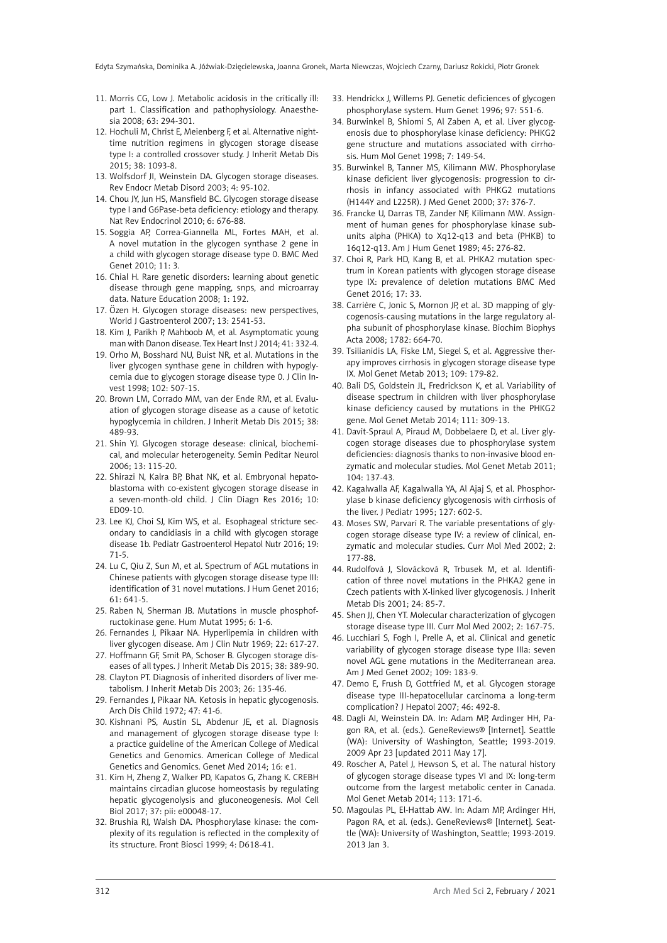- 11. Morris CG, Low J. Metabolic acidosis in the critically illpart 1. Classification and pathophysiology. Anaesthesia 2008; 63: 294-301.
- 12. Hochuli M, Christ E, Meienberg F, et al. Alternative nighttime nutrition regimens in glycogen storage disease type I: a controlled crossover study. J Inherit Metab Dis 2015; 38: 1093-8.
- 13. Wolfsdorf JI, Weinstein DA. Glycogen storage diseases. Rev Endocr Metab Disord 2003; 4: 95-102.
- 14. Chou JY, Jun HS, Mansfield BC. Glycogen storage disease type I and G6Pase-beta deficiency: etiology and therapy. Nat Rev Endocrinol 2010; 6: 676-88.
- 15. Soggia AP, Correa-Giannella ML, Fortes MAH, et al. A novel mutation in the glycogen synthase 2 gene in a child with glycogen storage disease type 0. BMC Med Genet 2010; 11: 3.
- 16. Chial H. Rare genetic disorders: learning about genetic disease through gene mapping, snps, and microarray data. Nature Education 2008; 1: 192.
- 17. Özen H. Glycogen storage diseases: new perspectives, World J Gastroenterol 2007; 13: 2541-53.
- 18. Kim J, Parikh P, Mahboob M, et al. Asymptomatic young man with Danon disease. Tex Heart Inst J 2014; 41: 332-4.
- 19. Orho M, Bosshard NU, Buist NR, et al. Mutations in the liver glycogen synthase gene in children with hypoglycemia due to glycogen storage disease type 0. J Clin Invest 1998; 102: 507-15.
- 20. Brown LM, Corrado MM, van der Ende RM, et al. Evaluation of glycogen storage disease as a cause of ketotic hypoglycemia in children. J Inherit Metab Dis 2015; 38: 489-93.
- 21. Shin YJ. Glycogen storage desease: clinical, biochemical, and molecular heterogeneity. Semin Peditar Neurol 2006; 13: 115-20.
- 22. Shirazi N, Kalra BP, Bhat NK, et al. Embryonal hepatoblastoma with co-existent glycogen storage disease in a seven-month-old child. J Clin Diagn Res 2016; 10: ED09-10.
- 23. Lee KJ, Choi SJ, Kim WS, et al. Esophageal stricture secondary to candidiasis in a child with glycogen storage disease 1b. Pediatr Gastroenterol Hepatol Nutr 2016; 19: 71-5.
- 24. Lu C, Qiu Z, Sun M, et al. Spectrum of AGL mutations in Chinese patients with glycogen storage disease type III: identification of 31 novel mutations. J Hum Genet 2016; 61: 641-5.
- 25. Raben N, Sherman JB. Mutations in muscle phosphofructokinase gene. Hum Mutat 1995; 6: 1-6.
- 26. Fernandes J, Pikaar NA. Hyperlipemia in children with liver glycogen disease. Am J Clin Nutr 1969; 22: 617-27.
- 27. Hoffmann GF, Smit PA, Schoser B. Glycogen storage diseases of all types. J Inherit Metab Dis 2015; 38: 389-90.
- 28. Clayton PT. Diagnosis of inherited disorders of liver metabolism. J Inherit Metab Dis 2003; 26: 135-46.
- 29. Fernandes J, Pikaar NA. Ketosis in hepatic glycogenosis. Arch Dis Child 1972; 47: 41-6.
- 30. Kishnani PS, Austin SL, Abdenur JE, et al. Diagnosis and management of glycogen storage disease type I: a practice guideline of the American College of Medical Genetics and Genomics. American College of Medical Genetics and Genomics. Genet Med 2014; 16: e1.
- 31. Kim H, Zheng Z, Walker PD, Kapatos G, Zhang K. CREBH maintains circadian glucose homeostasis by regulating hepatic glycogenolysis and gluconeogenesis. Mol Cell Biol 2017; 37: pii: e00048-17.
- 32. Brushia RJ, Walsh DA. Phosphorylase kinase: the complexity of its regulation is reflected in the complexity of its structure. Front Biosci 1999; 4: D618-41.
- 33. Hendrickx J, Willems PJ. Genetic deficiences of glycogen phosphorylase system. Hum Genet 1996; 97: 551-6.
- 34. Burwinkel B, Shiomi S, Al Zaben A, et al. Liver glycogenosis due to phosphorylase kinase deficiency: PHKG2 gene structure and mutations associated with cirrhosis. Hum Mol Genet 1998; 7: 149-54.
- 35. Burwinkel B, Tanner MS, Kilimann MW. Phosphorylase kinase deficient liver glycogenosis: progression to cirrhosis in infancy associated with PHKG2 mutations (H144Y and L225R). J Med Genet 2000; 37: 376-7.
- 36. Francke U, Darras TB, Zander NF, Kilimann MW. Assignment of human genes for phosphorylase kinase subunits alpha (PHKA) to Xq12-q13 and beta (PHKB) to 16q12-q13. Am J Hum Genet 1989; 45: 276-82.
- 37. [Choi R,](https://www.ncbi.nlm.nih.gov/pubmed/?term=Choi R%5BAuthor%5D&cauthor=true&cauthor_uid=27103379) [Park HD,](https://www.ncbi.nlm.nih.gov/pubmed/?term=Park HD%5BAuthor%5D&cauthor=true&cauthor_uid=27103379) [Kang B](https://www.ncbi.nlm.nih.gov/pubmed/?term=Kang B%5BAuthor%5D&cauthor=true&cauthor_uid=27103379), et al. PHKA2 mutation spectrum in Korean patients with glycogen storage disease type IX: prevalence of deletion mutations BMC Med Genet 2016; 17: 33.
- 38. Carrière C, Jonic S, Mornon JP, et al. 3D mapping of glycogenosis-causing mutations in the large regulatory alpha subunit of phosphorylase kinase. Biochim Biophys Acta 2008; 1782: 664-70.
- 39. Tsilianidis LA, Fiske LM, Siegel S, et al. Aggressive therapy improves cirrhosis in glycogen storage disease type IX. Mol Genet Metab 2013; 109: 179-82.
- 40. Bali DS, Goldstein JL, Fredrickson K, et al. Variability of disease spectrum in children with liver phosphorylase kinase deficiency caused by mutations in the PHKG2 gene. Mol Genet Metab 2014; 111: 309-13.
- 41. Davit-Spraul A, Piraud M, Dobbelaere D, et al. Liver glycogen storage diseases due to phosphorylase system deficiencies: diagnosis thanks to non-invasive blood enzymatic and molecular studies. Mol Genet Metab 2011; 104: 137-43.
- 42. Kagalwalla AF, Kagalwalla YA, Al Ajaj S, et al. Phosphorylase b kinase deficiency glycogenosis with cirrhosis of the liver. J Pediatr 1995; 127: 602-5.
- 43. Moses SW, Parvari R. The variable presentations of glycogen storage disease type IV: a review of clinical, enzymatic and molecular studies. Curr Mol Med 2002; 2: 177-88.
- 44. Rudolfová J, Slovácková R, Trbusek M, et al. Identification of three novel mutations in the PHKA2 gene in Czech patients with X-linked liver glycogenosis. J Inherit Metab Dis 2001; 24: 85-7.
- 45. Shen JJ, Chen YT. [Molecular characterization of glycogen](http://www.ncbi.nlm.nih.gov/pubmed/11949933) [storage disease type III.](http://www.ncbi.nlm.nih.gov/pubmed/11949933) Curr Mol Med 2002; 2: 167-75.
- 46. Lucchiari S, Fogh I, Prelle A, et al. Clinical and genetic variability of glycogen storage disease type IIIa: seven novel AGL gene mutations in the Mediterranean area. Am J Med Genet 2002; 109: 183-9.
- 47. Demo E, Frush D, Gottfried M, et al. Glycogen storage disease type III-hepatocellular carcinoma a long-term complication? J Hepatol 2007; 46: 492-8.
- 48. Dagli AI, Weinstein DA. In: Adam MP, Ardinger HH, Pagon RA, et al. (eds.). GeneReviews® [Internet]. Seattle (WA): University of Washington, Seattle; 1993-2019. 2009 Apr 23 [updated 2011 May 17].
- 49. Roscher A, Patel J, Hewson S, et al. [The natural history](http://www.ncbi.nlm.nih.gov/pubmed/25266922) [of glycogen storage disease types VI and IX: long-term](http://www.ncbi.nlm.nih.gov/pubmed/25266922) [outcome from the largest metabolic center in Canada.](http://www.ncbi.nlm.nih.gov/pubmed/25266922) Mol Genet Metab 2014; 113: 171-6.
- 50. Magoulas PL, El-Hattab AW. In: Adam MP, Ardinger HH, Pagon RA, et al. (eds.). GeneReviews® [Internet]. Seattle (WA): University of Washington, Seattle; 1993-2019. 2013 Jan 3.